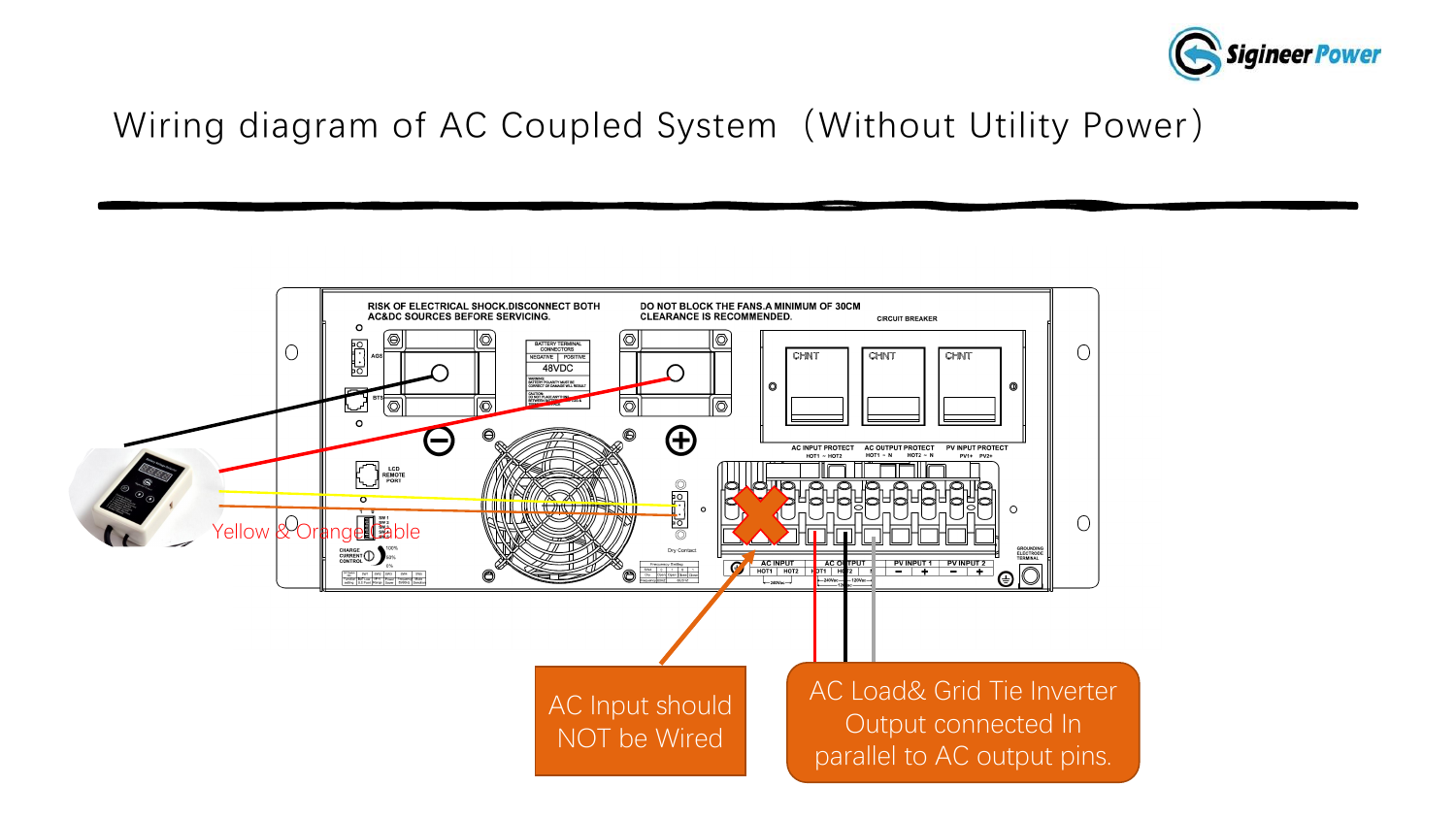

#### Wiring diagram of AC Coupled System (Without Utility Power)

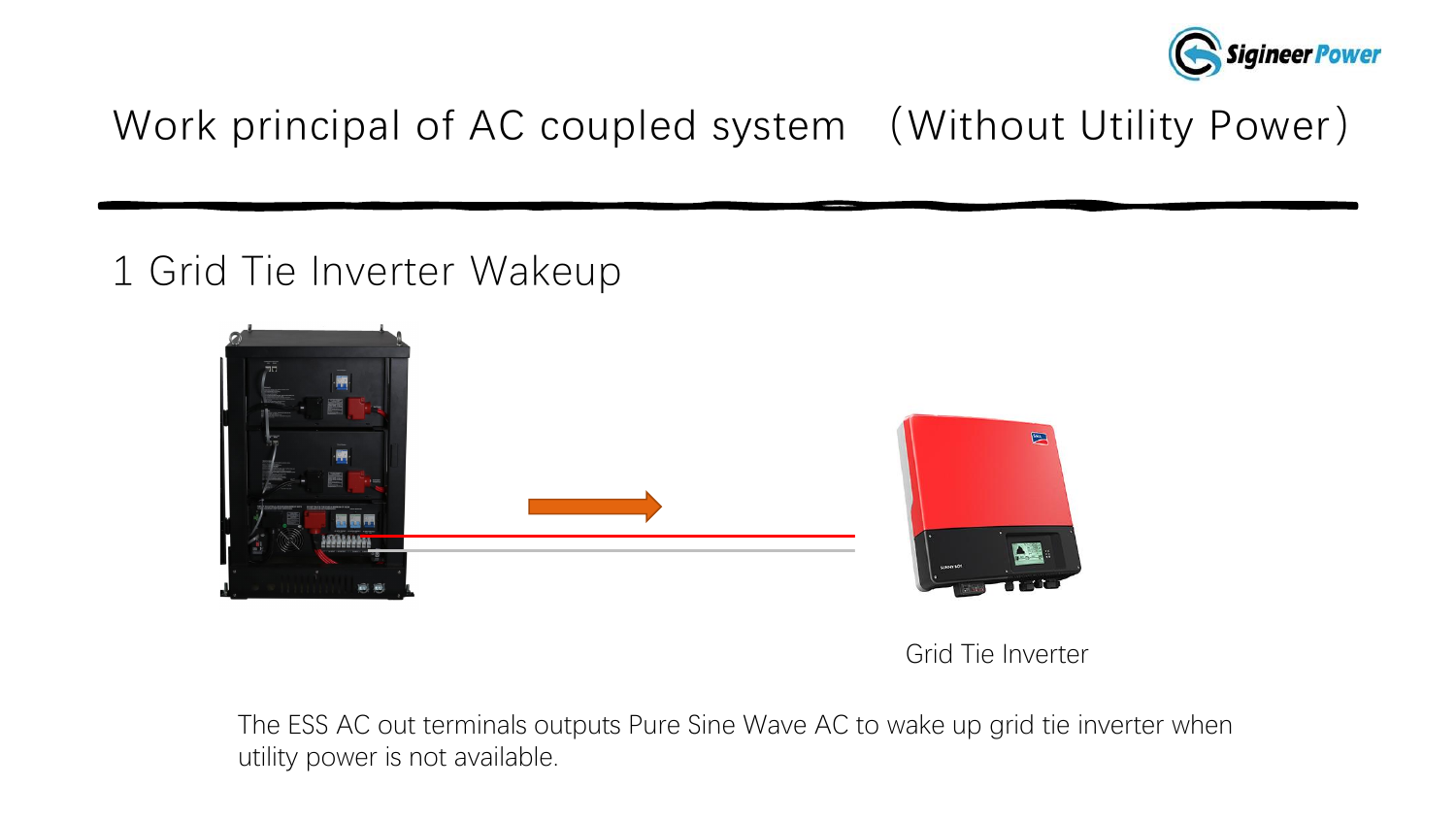

#### 1 Grid Tie Inverter Wakeup



#### Grid Tie Inverter

The ESS AC out terminals outputs Pure Sine Wave AC to wake up grid tie inverter when utility power is not available.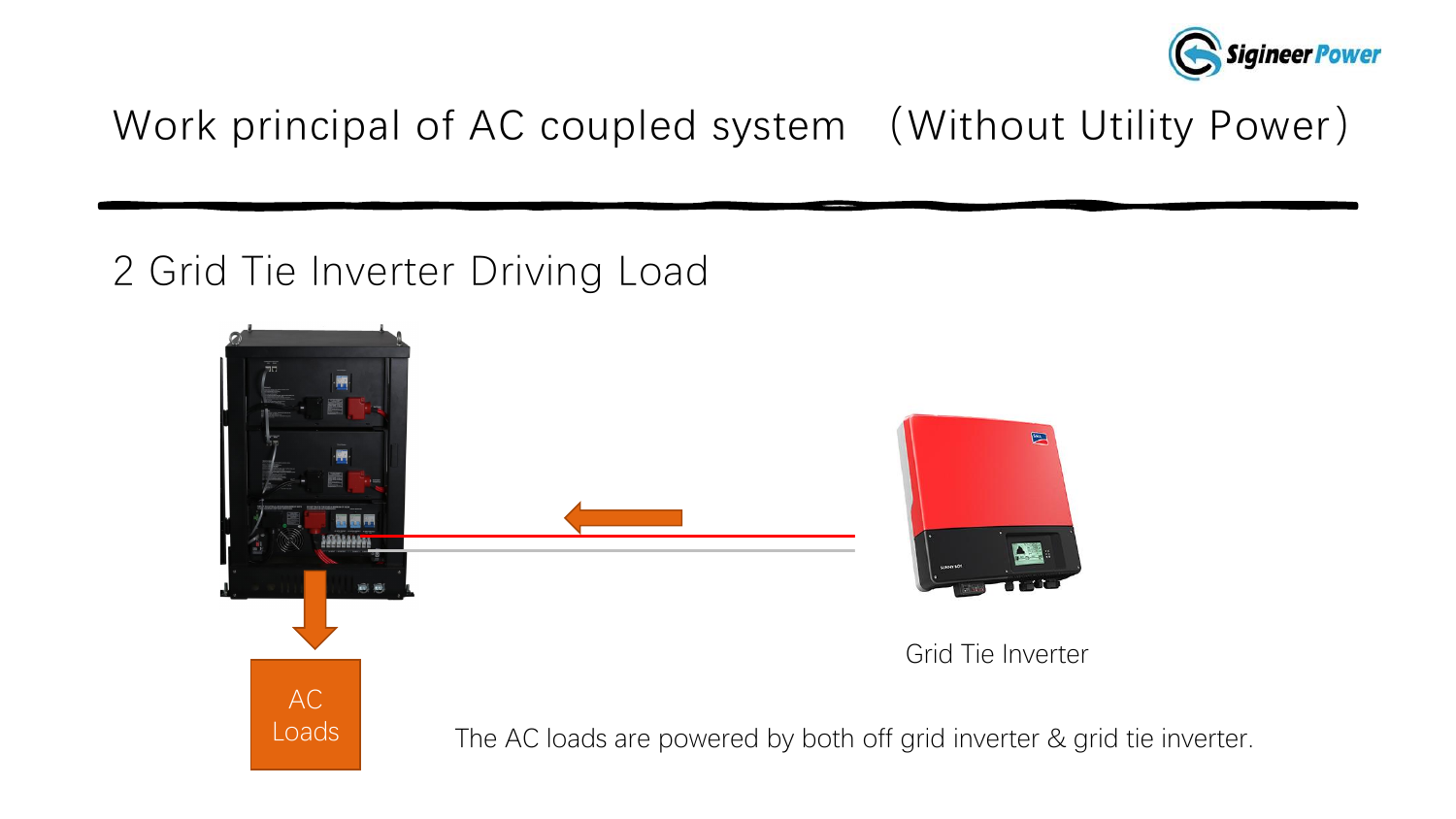

#### 2 Grid Tie Inverter Driving Load

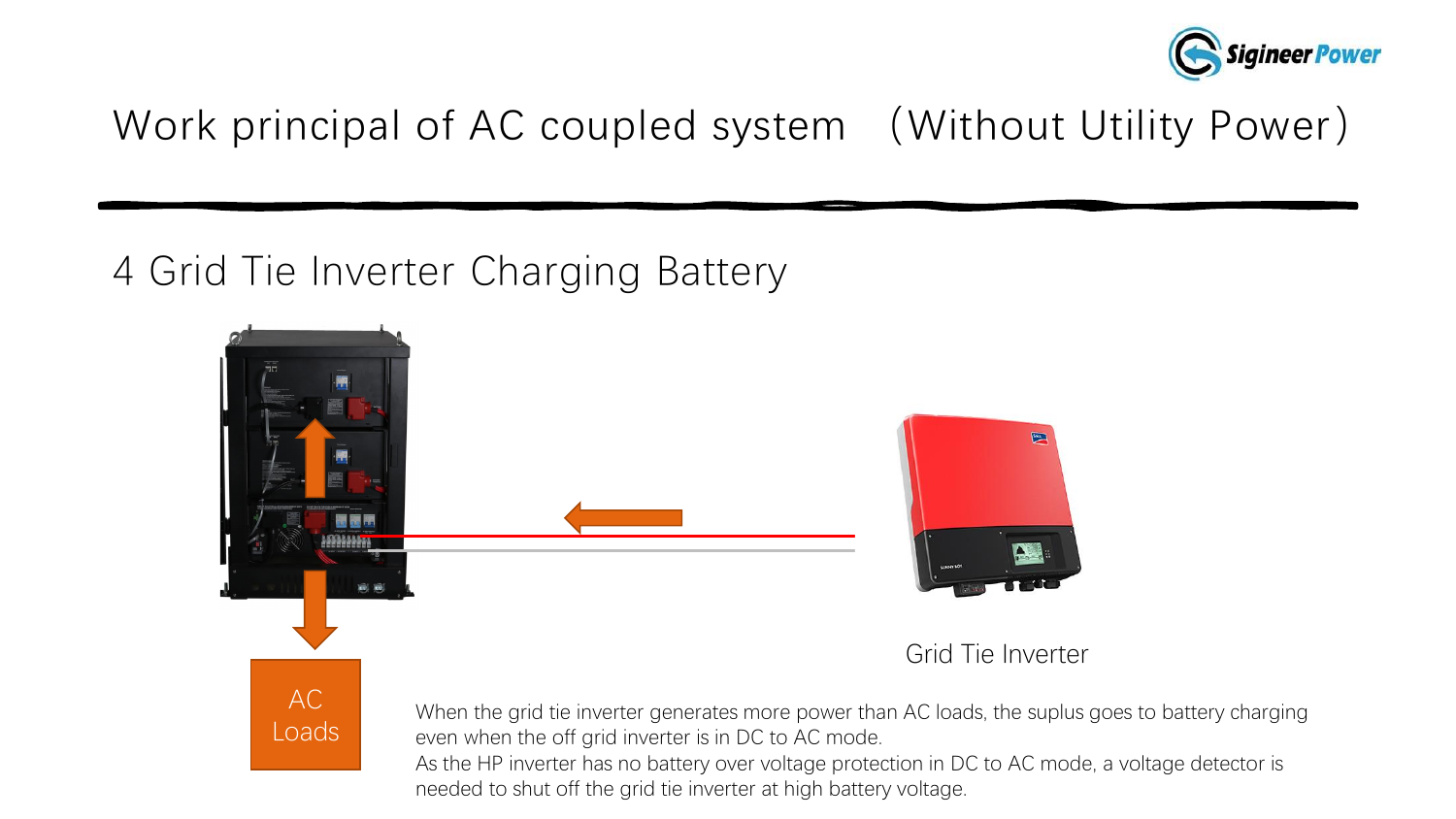

### 4 Grid Tie Inverter Charging Battery

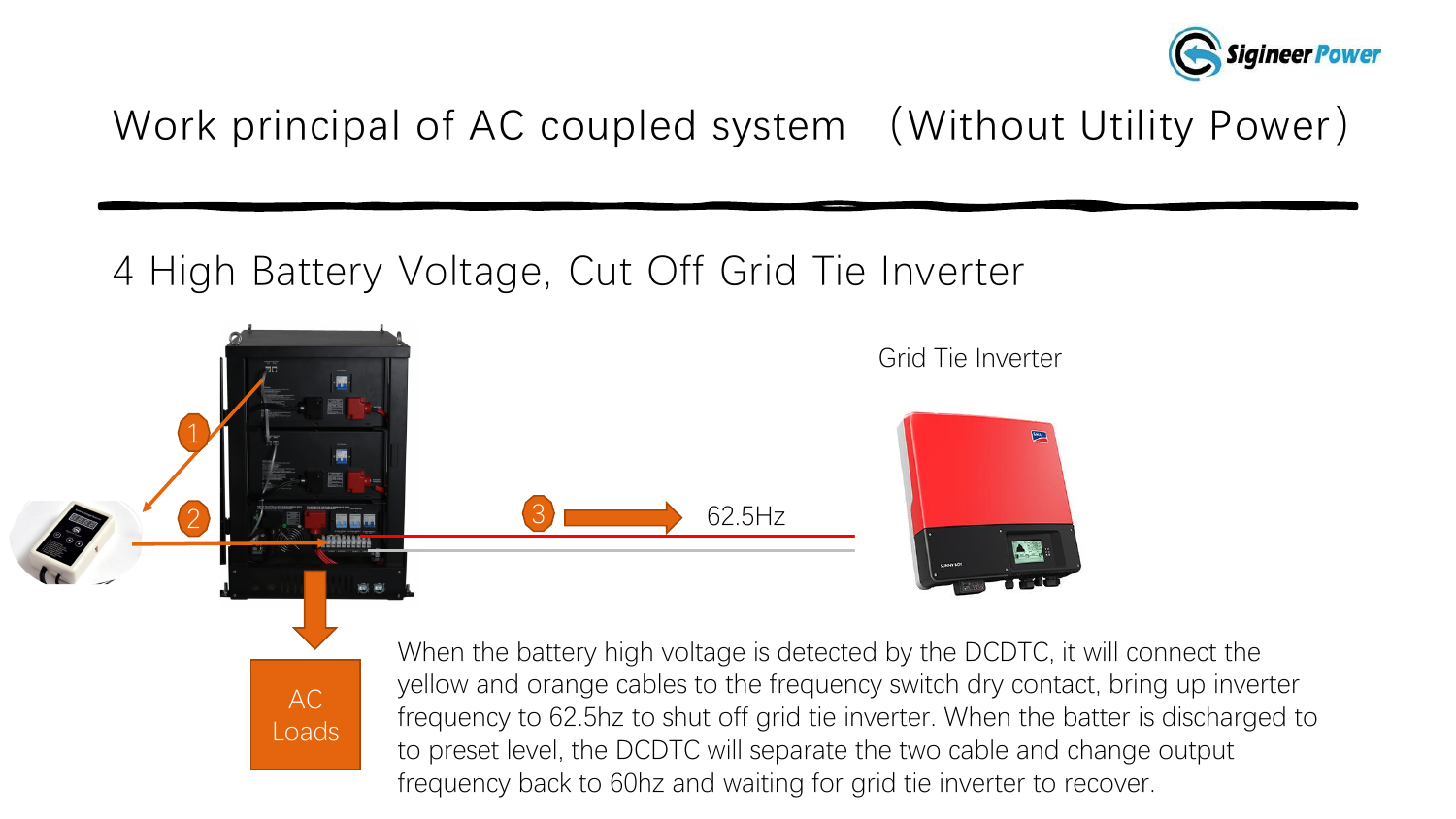

### 4 High Battery Voltage, Cut Off Grid Tie Inverter



AC

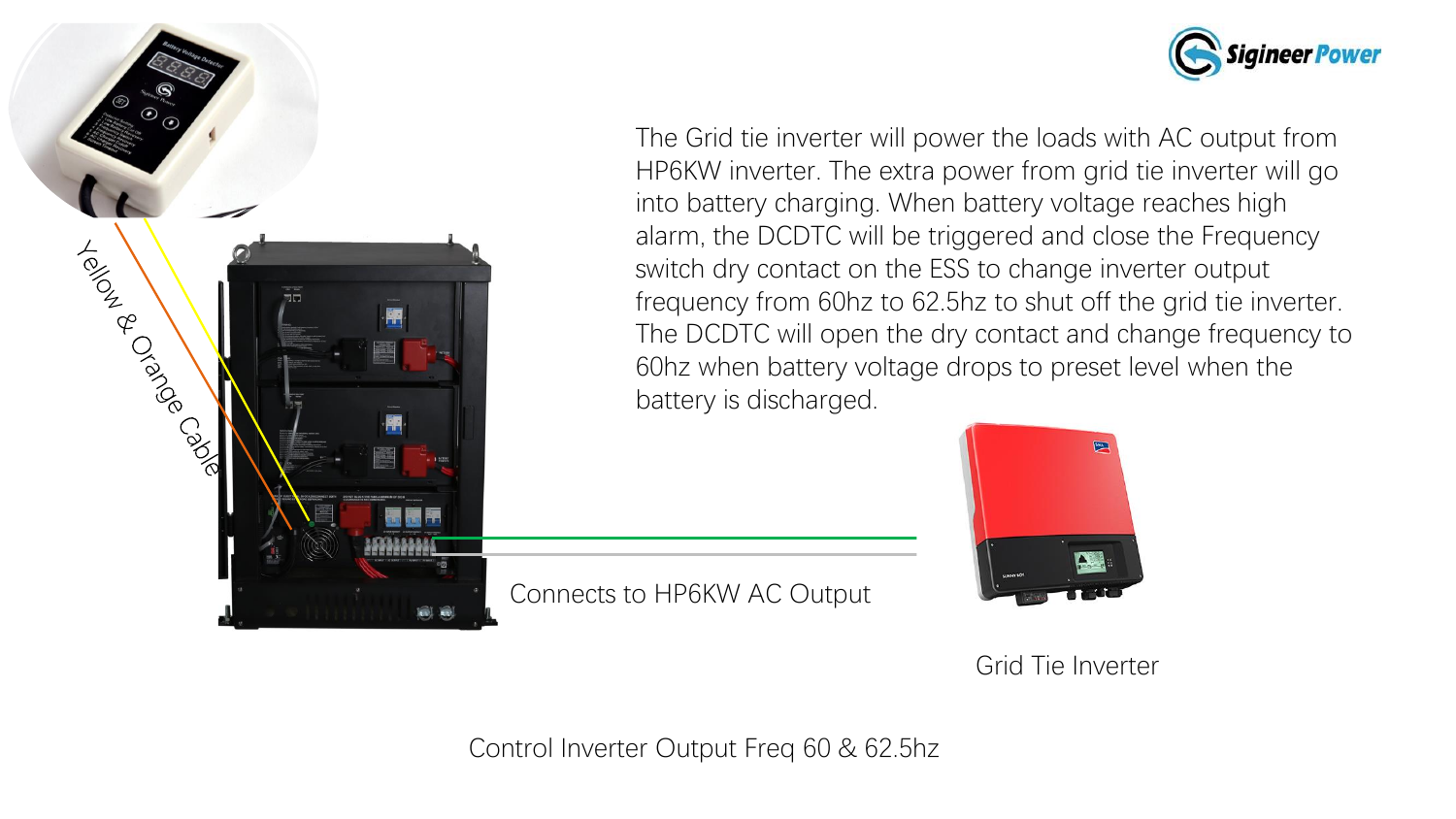



The Grid tie inverter will power the loads with AC output from HP6KW inverter. The extra power from grid tie inverter will go into battery charging. When battery voltage reaches high alarm, the DCDTC will be triggered and close the Frequency switch dry contact on the ESS to change inverter output frequency from 60hz to 62.5hz to shut off the grid tie inverter. The DCDTC will open the dry contact and change frequency to 60hz when battery voltage drops to preset level when the battery is discharged.



|  | Grid Tie Inverter |
|--|-------------------|
|  |                   |

Control Inverter Output Freq 60 & 62.5hz